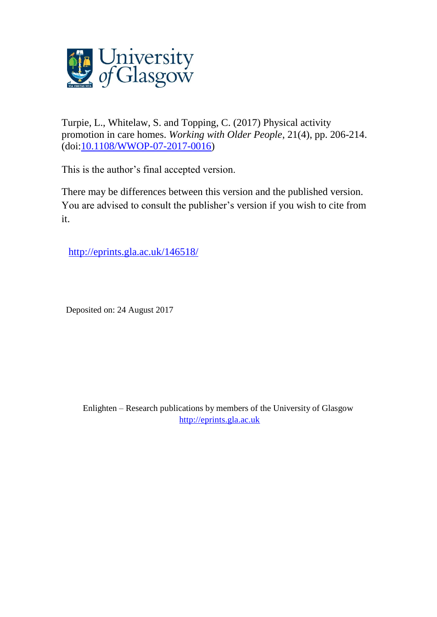

Turpie, L., Whitelaw, S. and Topping, C. (2017) Physical activity promotion in care homes. *Working with Older People*, 21(4), pp. 206-214. (doi[:10.1108/WWOP-07-2017-0016\)](http://dx.doi.org/10.1108/WWOP-07-2017-0016)

This is the author's final accepted version.

There may be differences between this version and the published version. You are advised to consult the publisher's version if you wish to cite from it.

<http://eprints.gla.ac.uk/146518/>

Deposited on: 24 August 2017

Enlighten – Research publications by members of the University of Glasgow [http://eprints.gla.ac.uk](http://eprints.gla.ac.uk/)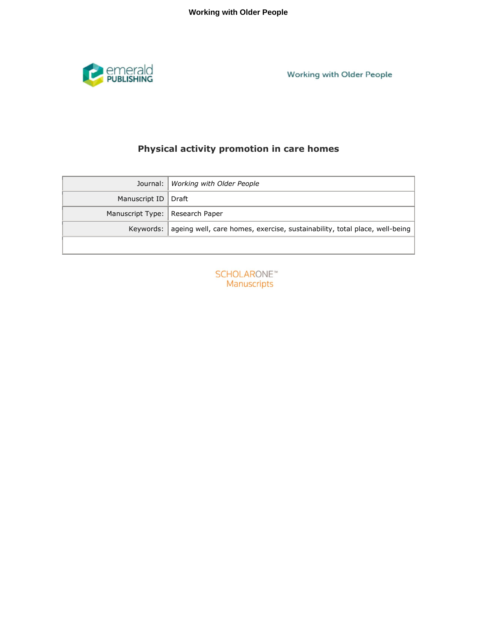

Working with Older People

# **Physical activity promotion in care homes**

|                                   | Journal:   Working with Older People                                                   |
|-----------------------------------|----------------------------------------------------------------------------------------|
| Manuscript ID   Draft             |                                                                                        |
| Manuscript Type:   Research Paper |                                                                                        |
|                                   | Keywords:   ageing well, care homes, exercise, sustainability, total place, well-being |
|                                   |                                                                                        |

**SCHOLARONE™** Manuscripts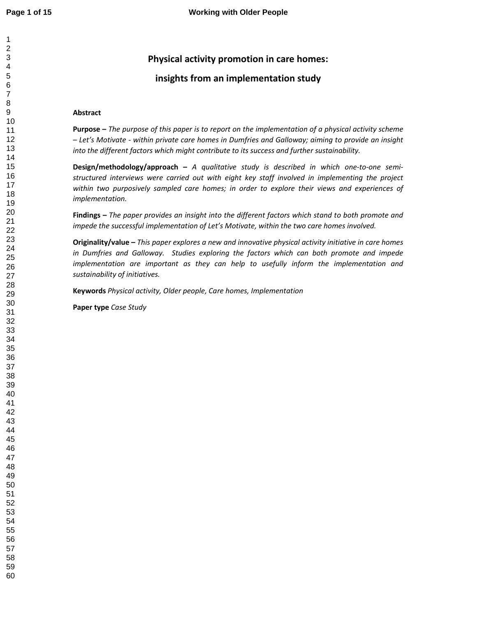## **Physical activity promotion in care homes:**

## **insights from an implementation study**

## **Abstract**

**Purpose –** *The purpose of this paper is to report on the implementation of a physical activity scheme – Let's Motivate - within private care homes in Dumfries and Galloway; aiming to provide an insight into the different factors which might contribute to its success and further sustainability.* 

**Design/methodology/approach –** *A qualitative study is described in which one-to-one semistructured interviews were carried out with eight key staff involved in implementing the project within two purposively sampled care homes; in order to explore their views and experiences of implementation.* 

**Findings –** *The paper provides an insight into the different factors which stand to both promote and impede the successful implementation of Let's Motivate, within the two care homes involved.* 

**Originality/value –** *This paper explores a new and innovative physical activity initiative in care homes in Dumfries and Galloway. Studies exploring the factors which can both promote and impede implementation are important as they can help to usefully inform the implementation and sustainability of initiatives.* 

**Keywords** *Physical activity, Older people, Care homes, Implementation* 

**Paper type** *Case Study*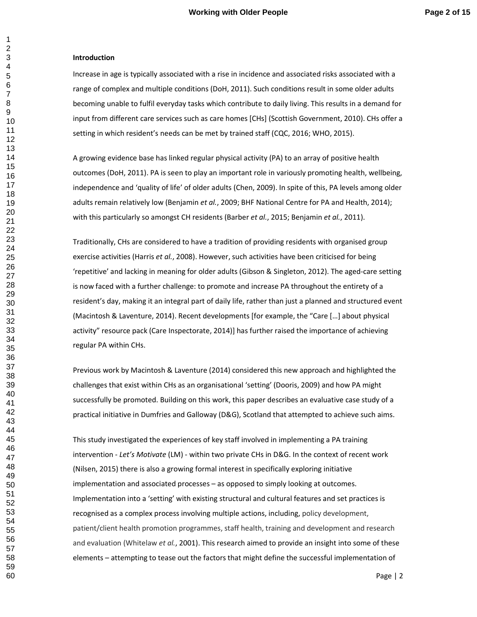#### **Introduction**

Increase in age is typically associated with a rise in incidence and associated risks associated with a range of complex and multiple conditions (DoH, 2011). Such conditions result in some older adults becoming unable to fulfil everyday tasks which contribute to daily living. This results in a demand for input from different care services such as care homes [CHs] (Scottish Government, 2010). CHs offer a setting in which resident's needs can be met by trained staff (CQC, 2016; WHO, 2015).

A growing evidence base has linked regular physical activity (PA) to an array of positive health outcomes (DoH, 2011). PA is seen to play an important role in variously promoting health, wellbeing, independence and 'quality of life' of older adults (Chen, 2009). In spite of this, PA levels among older adults remain relatively low (Benjamin *et al.*, 2009; BHF National Centre for PA and Health, 2014); with this particularly so amongst CH residents (Barber *et al.*, 2015; Benjamin *et al.*, 2011).

Traditionally, CHs are considered to have a tradition of providing residents with organised group exercise activities (Harris *et al.*, 2008). However, such activities have been criticised for being 'repetitive' and lacking in meaning for older adults (Gibson & Singleton, 2012). The aged-care setting is now faced with a further challenge: to promote and increase PA throughout the entirety of a resident's day, making it an integral part of daily life, rather than just a planned and structured event (Macintosh & Laventure, 2014). Recent developments [for example, the "Care […] about physical activity" resource pack (Care Inspectorate, 2014)] has further raised the importance of achieving regular PA within CHs.

Previous work by Macintosh & Laventure (2014) considered this new approach and highlighted the challenges that exist within CHs as an organisational 'setting' (Dooris, 2009) and how PA might successfully be promoted. Building on this work, this paper describes an evaluative case study of a practical initiative in Dumfries and Galloway (D&G), Scotland that attempted to achieve such aims.

This study investigated the experiences of key staff involved in implementing a PA training intervention - *Let's Motivate* (LM) - within two private CHs in D&G. In the context of recent work (Nilsen, 2015) there is also a growing formal interest in specifically exploring initiative implementation and associated processes – as opposed to simply looking at outcomes. Implementation into a 'setting' with existing structural and cultural features and set practices is recognised as a complex process involving multiple actions, including, policy development, patient/client health promotion programmes, staff health, training and development and research and evaluation (Whitelaw *et al.*, 2001). This research aimed to provide an insight into some of these elements – attempting to tease out the factors that might define the successful implementation of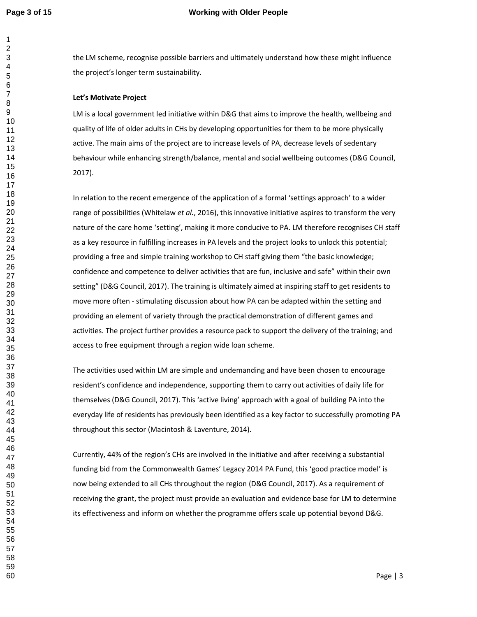the LM scheme, recognise possible barriers and ultimately understand how these might influence the project's longer term sustainability.

#### **Let's Motivate Project**

LM is a local government led initiative within D&G that aims to improve the health, wellbeing and quality of life of older adults in CHs by developing opportunities for them to be more physically active. The main aims of the project are to increase levels of PA, decrease levels of sedentary behaviour while enhancing strength/balance, mental and social wellbeing outcomes (D&G Council, 2017).

In relation to the recent emergence of the application of a formal 'settings approach' to a wider range of possibilities (Whitelaw *et al.*, 2016), this innovative initiative aspires to transform the very nature of the care home 'setting', making it more conducive to PA. LM therefore recognises CH staff as a key resource in fulfilling increases in PA levels and the project looks to unlock this potential; providing a free and simple training workshop to CH staff giving them "the basic knowledge; confidence and competence to deliver activities that are fun, inclusive and safe" within their own setting" (D&G Council, 2017). The training is ultimately aimed at inspiring staff to get residents to move more often - stimulating discussion about how PA can be adapted within the setting and providing an element of variety through the practical demonstration of different games and activities. The project further provides a resource pack to support the delivery of the training; and access to free equipment through a region wide loan scheme.

The activities used within LM are simple and undemanding and have been chosen to encourage resident's confidence and independence, supporting them to carry out activities of daily life for themselves (D&G Council, 2017). This 'active living' approach with a goal of building PA into the everyday life of residents has previously been identified as a key factor to successfully promoting PA throughout this sector (Macintosh & Laventure, 2014).

Currently, 44% of the region's CHs are involved in the initiative and after receiving a substantial funding bid from the Commonwealth Games' Legacy 2014 PA Fund, this 'good practice model' is now being extended to all CHs throughout the region (D&G Council, 2017). As a requirement of receiving the grant, the project must provide an evaluation and evidence base for LM to determine its effectiveness and inform on whether the programme offers scale up potential beyond D&G.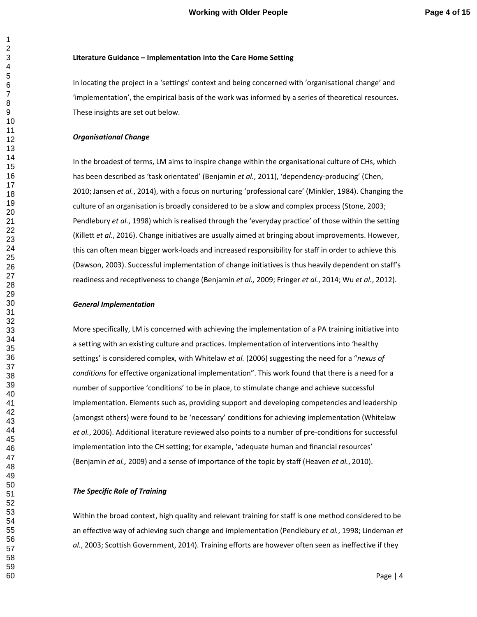#### **Literature Guidance – Implementation into the Care Home Setting**

In locating the project in a 'settings' context and being concerned with 'organisational change' and 'implementation', the empirical basis of the work was informed by a series of theoretical resources. These insights are set out below.

#### *Organisational Change*

In the broadest of terms, LM aims to inspire change within the organisational culture of CHs, which has been described as 'task orientated' (Benjamin *et al.*, 2011), 'dependency-producing' (Chen, 2010; Jansen *et al.*, 2014), with a focus on nurturing 'professional care' (Minkler, 1984). Changing the culture of an organisation is broadly considered to be a slow and complex process (Stone, 2003; Pendlebury *et al.*, 1998) which is realised through the 'everyday practice' of those within the setting (Killett *et al.*, 2016). Change initiatives are usually aimed at bringing about improvements. However, this can often mean bigger work-loads and increased responsibility for staff in order to achieve this (Dawson, 2003). Successful implementation of change initiatives is thus heavily dependent on staff's readiness and receptiveness to change (Benjamin *et al.,* 2009; Fringer *et al.*, 2014; Wu *et al.*, 2012).

#### *General Implementation*

More specifically, LM is concerned with achieving the implementation of a PA training initiative into a setting with an existing culture and practices. Implementation of interventions into 'healthy settings' is considered complex, with Whitelaw *et al.* (2006) suggesting the need for a "*nexus of conditions* for effective organizational implementation". This work found that there is a need for a number of supportive 'conditions' to be in place, to stimulate change and achieve successful implementation. Elements such as, providing support and developing competencies and leadership (amongst others) were found to be 'necessary' conditions for achieving implementation (Whitelaw *et al.*, 2006). Additional literature reviewed also points to a number of pre-conditions for successful implementation into the CH setting; for example, 'adequate human and financial resources' (Benjamin *et al.,* 2009) and a sense of importance of the topic by staff (Heaven *et al.*, 2010).

#### *The Specific Role of Training*

Within the broad context, high quality and relevant training for staff is one method considered to be an effective way of achieving such change and implementation (Pendlebury *et al.*, 1998; Lindeman *et al.*, 2003; Scottish Government, 2014). Training efforts are however often seen as ineffective if they

Page | 4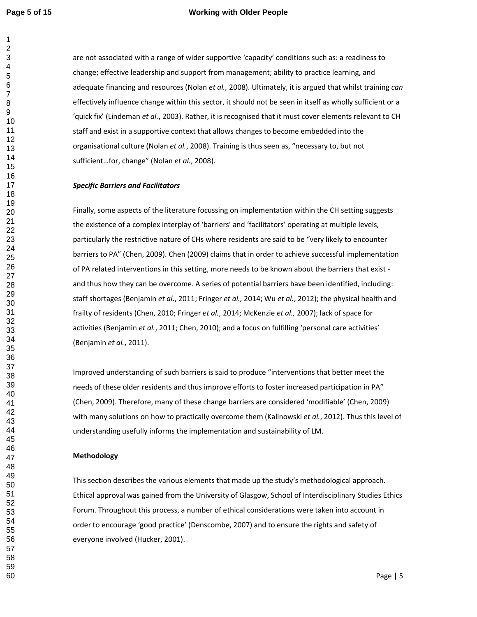## **Page 5 of 15 Working with Older People**

are not associated with a range of wider supportive 'capacity' conditions such as: a readiness to change; effective leadership and support from management; ability to practice learning, and adequate financing and resources (Nolan *et al.,* 2008). Ultimately, it is argued that whilst training *can* effectively influence change within this sector, it should not be seen in itself as wholly sufficient or a 'quick fix' (Lindeman *et al.*, 2003). Rather, it is recognised that it must cover elements relevant to CH staff and exist in a supportive context that allows changes to become embedded into the organisational culture (Nolan *et al.*, 2008). Training is thus seen as, "necessary to, but not sufficient…for, change" (Nolan *et al.*, 2008).

## *Specific Barriers and Facilitators*

Finally, some aspects of the literature focussing on implementation within the CH setting suggests the existence of a complex interplay of 'barriers' and 'facilitators' operating at multiple levels, particularly the restrictive nature of CHs where residents are said to be "very likely to encounter barriers to PA" (Chen, 2009). Chen (2009) claims that in order to achieve successful implementation of PA related interventions in this setting, more needs to be known about the barriers that exist and thus how they can be overcome. A series of potential barriers have been identified, including: staff shortages (Benjamin *et al.*, 2011; Fringer *et al.,* 2014; Wu *et al.*, 2012); the physical health and frailty of residents (Chen, 2010; Fringer *et al.*, 2014; McKenzie *et al.,* 2007); lack of space for activities (Benjamin *et al.*, 2011; Chen, 2010); and a focus on fulfilling 'personal care activities' (Benjamin *et al.*, 2011).

Improved understanding of such barriers is said to produce "interventions that better meet the needs of these older residents and thus improve efforts to foster increased participation in PA" (Chen, 2009). Therefore, many of these change barriers are considered 'modifiable' (Chen, 2009) with many solutions on how to practically overcome them (Kalinowski *et al.*, 2012). Thus this level of understanding usefully informs the implementation and sustainability of LM.

#### **Methodology**

This section describes the various elements that made up the study's methodological approach. Ethical approval was gained from the University of Glasgow, School of Interdisciplinary Studies Ethics Forum. Throughout this process, a number of ethical considerations were taken into account in order to encourage 'good practice' (Denscombe, 2007) and to ensure the rights and safety of everyone involved (Hucker, 2001).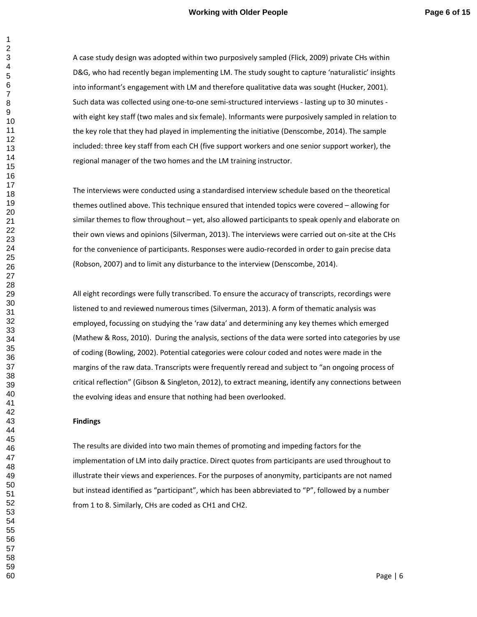A case study design was adopted within two purposively sampled (Flick, 2009) private CHs within D&G, who had recently began implementing LM. The study sought to capture 'naturalistic' insights into informant's engagement with LM and therefore qualitative data was sought (Hucker, 2001). Such data was collected using one-to-one semi-structured interviews - lasting up to 30 minutes with eight key staff (two males and six female). Informants were purposively sampled in relation to the key role that they had played in implementing the initiative (Denscombe, 2014). The sample included: three key staff from each CH (five support workers and one senior support worker), the regional manager of the two homes and the LM training instructor.

The interviews were conducted using a standardised interview schedule based on the theoretical themes outlined above. This technique ensured that intended topics were covered – allowing for similar themes to flow throughout – yet, also allowed participants to speak openly and elaborate on their own views and opinions (Silverman, 2013). The interviews were carried out on-site at the CHs for the convenience of participants. Responses were audio-recorded in order to gain precise data (Robson, 2007) and to limit any disturbance to the interview (Denscombe, 2014).

All eight recordings were fully transcribed. To ensure the accuracy of transcripts, recordings were listened to and reviewed numerous times (Silverman, 2013). A form of thematic analysis was employed, focussing on studying the 'raw data' and determining any key themes which emerged (Mathew & Ross, 2010). During the analysis, sections of the data were sorted into categories by use of coding (Bowling, 2002). Potential categories were colour coded and notes were made in the margins of the raw data. Transcripts were frequently reread and subject to "an ongoing process of critical reflection" (Gibson & Singleton, 2012), to extract meaning, identify any connections between the evolving ideas and ensure that nothing had been overlooked.

#### **Findings**

The results are divided into two main themes of promoting and impeding factors for the implementation of LM into daily practice. Direct quotes from participants are used throughout to illustrate their views and experiences. For the purposes of anonymity, participants are not named but instead identified as "participant", which has been abbreviated to "P", followed by a number from 1 to 8. Similarly, CHs are coded as CH1 and CH2.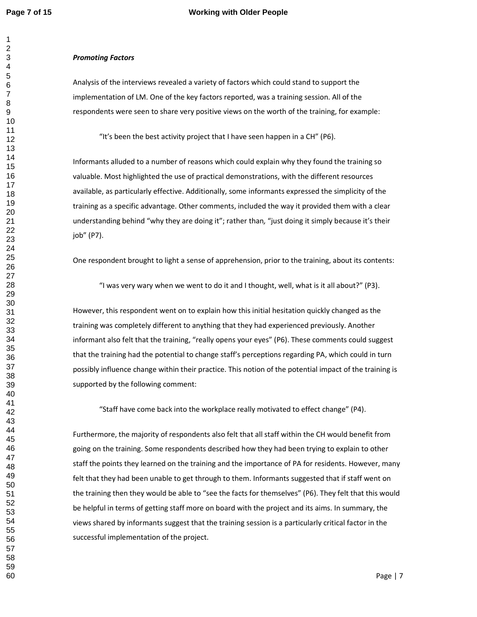## **Page 7 of 15 Working with Older People**

#### *Promoting Factors*

Analysis of the interviews revealed a variety of factors which could stand to support the implementation of LM. One of the key factors reported, was a training session. All of the respondents were seen to share very positive views on the worth of the training, for example:

"It's been the best activity project that I have seen happen in a CH" (P6).

Informants alluded to a number of reasons which could explain why they found the training so valuable. Most highlighted the use of practical demonstrations, with the different resources available, as particularly effective. Additionally, some informants expressed the simplicity of the training as a specific advantage. Other comments, included the way it provided them with a clear understanding behind "why they are doing it"; rather than*,* "just doing it simply because it's their job" (P7).

One respondent brought to light a sense of apprehension, prior to the training, about its contents:

"I was very wary when we went to do it and I thought, well, what is it all about?" (P3).

However, this respondent went on to explain how this initial hesitation quickly changed as the training was completely different to anything that they had experienced previously. Another informant also felt that the training, "really opens your eyes" (P6). These comments could suggest that the training had the potential to change staff's perceptions regarding PA, which could in turn possibly influence change within their practice. This notion of the potential impact of the training is supported by the following comment:

"Staff have come back into the workplace really motivated to effect change" (P4).

Furthermore, the majority of respondents also felt that all staff within the CH would benefit from going on the training. Some respondents described how they had been trying to explain to other staff the points they learned on the training and the importance of PA for residents. However, many felt that they had been unable to get through to them. Informants suggested that if staff went on the training then they would be able to "see the facts for themselves" (P6). They felt that this would be helpful in terms of getting staff more on board with the project and its aims. In summary, the views shared by informants suggest that the training session is a particularly critical factor in the successful implementation of the project.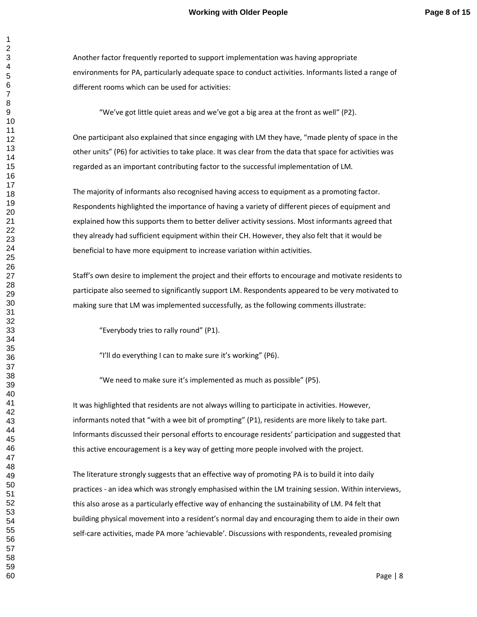Another factor frequently reported to support implementation was having appropriate environments for PA, particularly adequate space to conduct activities. Informants listed a range of different rooms which can be used for activities:

"We've got little quiet areas and we've got a big area at the front as well" (P2).

One participant also explained that since engaging with LM they have, "made plenty of space in the other units" (P6) for activities to take place. It was clear from the data that space for activities was regarded as an important contributing factor to the successful implementation of LM*.* 

The majority of informants also recognised having access to equipment as a promoting factor. Respondents highlighted the importance of having a variety of different pieces of equipment and explained how this supports them to better deliver activity sessions. Most informants agreed that they already had sufficient equipment within their CH. However, they also felt that it would be beneficial to have more equipment to increase variation within activities.

Staff's own desire to implement the project and their efforts to encourage and motivate residents to participate also seemed to significantly support LM. Respondents appeared to be very motivated to making sure that LM was implemented successfully, as the following comments illustrate:

"Everybody tries to rally round" (P1).

"I'll do everything I can to make sure it's working" (P6).

"We need to make sure it's implemented as much as possible" (P5).

It was highlighted that residents are not always willing to participate in activities. However, informants noted that "with a wee bit of prompting" (P1), residents are more likely to take part. Informants discussed their personal efforts to encourage residents' participation and suggested that this active encouragement is a key way of getting more people involved with the project.

The literature strongly suggests that an effective way of promoting PA is to build it into daily practices - an idea which was strongly emphasised within the LM training session. Within interviews, this also arose as a particularly effective way of enhancing the sustainability of LM. P4 felt that building physical movement into a resident's normal day and encouraging them to aide in their own self-care activities, made PA more 'achievable'. Discussions with respondents, revealed promising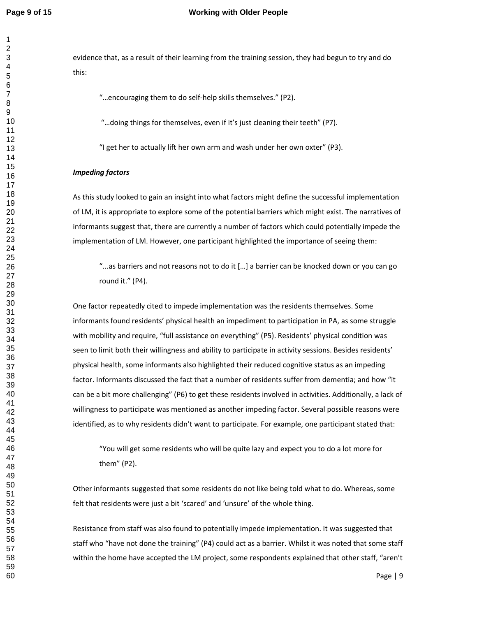### **Page 9 of 15 Working with Older People**

evidence that, as a result of their learning from the training session, they had begun to try and do this:

"…encouraging them to do self-help skills themselves." (P2).

"…doing things for themselves, even if it's just cleaning their teeth" (P7).

"I get her to actually lift her own arm and wash under her own oxter" (P3).

#### *Impeding factors*

As this study looked to gain an insight into what factors might define the successful implementation of LM, it is appropriate to explore some of the potential barriers which might exist. The narratives of informants suggest that, there are currently a number of factors which could potentially impede the implementation of LM. However, one participant highlighted the importance of seeing them:

"...as barriers and not reasons not to do it […] a barrier can be knocked down or you can go round it." (P4).

One factor repeatedly cited to impede implementation was the residents themselves. Some informants found residents' physical health an impediment to participation in PA, as some struggle with mobility and require, "full assistance on everything" (P5). Residents' physical condition was seen to limit both their willingness and ability to participate in activity sessions. Besides residents' physical health, some informants also highlighted their reduced cognitive status as an impeding factor. Informants discussed the fact that a number of residents suffer from dementia; and how "it can be a bit more challenging" (P6) to get these residents involved in activities. Additionally, a lack of willingness to participate was mentioned as another impeding factor. Several possible reasons were identified, as to why residents didn't want to participate. For example, one participant stated that:

"You will get some residents who will be quite lazy and expect you to do a lot more for them" (P2).

Other informants suggested that some residents do not like being told what to do. Whereas, some felt that residents were just a bit 'scared' and 'unsure' of the whole thing.

Resistance from staff was also found to potentially impede implementation. It was suggested that staff who "have not done the training" (P4) could act as a barrier. Whilst it was noted that some staff within the home have accepted the LM project, some respondents explained that other staff, "aren't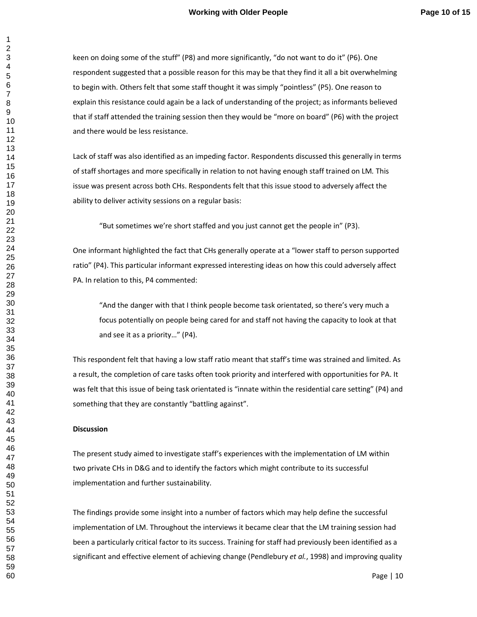keen on doing some of the stuff" (P8) and more significantly, "do not want to do it" (P6). One respondent suggested that a possible reason for this may be that they find it all a bit overwhelming to begin with. Others felt that some staff thought it was simply "pointless" (P5). One reason to explain this resistance could again be a lack of understanding of the project; as informants believed that if staff attended the training session then they would be "more on board" (P6) with the project and there would be less resistance.

Lack of staff was also identified as an impeding factor. Respondents discussed this generally in terms of staff shortages and more specifically in relation to not having enough staff trained on LM*.* This issue was present across both CHs. Respondents felt that this issue stood to adversely affect the ability to deliver activity sessions on a regular basis:

"But sometimes we're short staffed and you just cannot get the people in" (P3).

One informant highlighted the fact that CHs generally operate at a "lower staff to person supported ratio" (P4). This particular informant expressed interesting ideas on how this could adversely affect PA. In relation to this, P4 commented:

"And the danger with that I think people become task orientated, so there's very much a focus potentially on people being cared for and staff not having the capacity to look at that and see it as a priority…" (P4).

This respondent felt that having a low staff ratio meant that staff's time was strained and limited. As a result, the completion of care tasks often took priority and interfered with opportunities for PA. It was felt that this issue of being task orientated is "innate within the residential care setting" (P4) and something that they are constantly "battling against".

#### **Discussion**

The present study aimed to investigate staff's experiences with the implementation of LM within two private CHs in D&G and to identify the factors which might contribute to its successful implementation and further sustainability.

The findings provide some insight into a number of factors which may help define the successful implementation of LM. Throughout the interviews it became clear that the LM training session had been a particularly critical factor to its success. Training for staff had previously been identified as a significant and effective element of achieving change (Pendlebury *et al.*, 1998) and improving quality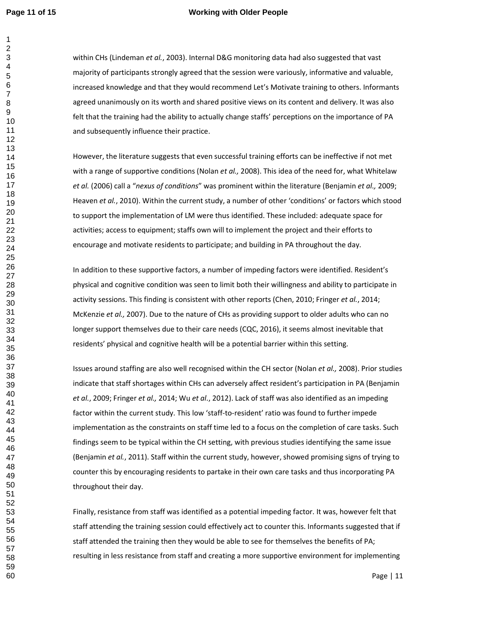## **Page 11 of 15 Working with Older People**

within CHs (Lindeman *et al.*, 2003). Internal D&G monitoring data had also suggested that vast majority of participants strongly agreed that the session were variously, informative and valuable, increased knowledge and that they would recommend Let's Motivate training to others. Informants agreed unanimously on its worth and shared positive views on its content and delivery. It was also felt that the training had the ability to actually change staffs' perceptions on the importance of PA and subsequently influence their practice.

However, the literature suggests that even successful training efforts can be ineffective if not met with a range of supportive conditions (Nolan *et al.,* 2008). This idea of the need for, what Whitelaw *et al.* (2006) call a "*nexus of conditions*" was prominent within the literature (Benjamin *et al.,* 2009; Heaven *et al.*, 2010). Within the current study, a number of other 'conditions' or factors which stood to support the implementation of LM were thus identified. These included: adequate space for activities; access to equipment; staffs own will to implement the project and their efforts to encourage and motivate residents to participate; and building in PA throughout the day.

In addition to these supportive factors, a number of impeding factors were identified. Resident's physical and cognitive condition was seen to limit both their willingness and ability to participate in activity sessions. This finding is consistent with other reports (Chen, 2010; Fringer *et al.*, 2014; McKenzie *et al.,* 2007). Due to the nature of CHs as providing support to older adults who can no longer support themselves due to their care needs (CQC, 2016), it seems almost inevitable that residents' physical and cognitive health will be a potential barrier within this setting.

Issues around staffing are also well recognised within the CH sector (Nolan *et al.,* 2008). Prior studies indicate that staff shortages within CHs can adversely affect resident's participation in PA (Benjamin *et al.*, 2009; Fringer *et al.,* 2014; Wu *et al.*, 2012). Lack of staff was also identified as an impeding factor within the current study. This low 'staff-to-resident' ratio was found to further impede implementation as the constraints on staff time led to a focus on the completion of care tasks. Such findings seem to be typical within the CH setting, with previous studies identifying the same issue (Benjamin *et al.*, 2011). Staff within the current study, however, showed promising signs of trying to counter this by encouraging residents to partake in their own care tasks and thus incorporating PA throughout their day.

Finally, resistance from staff was identified as a potential impeding factor. It was, however felt that staff attending the training session could effectively act to counter this. Informants suggested that if staff attended the training then they would be able to see for themselves the benefits of PA; resulting in less resistance from staff and creating a more supportive environment for implementing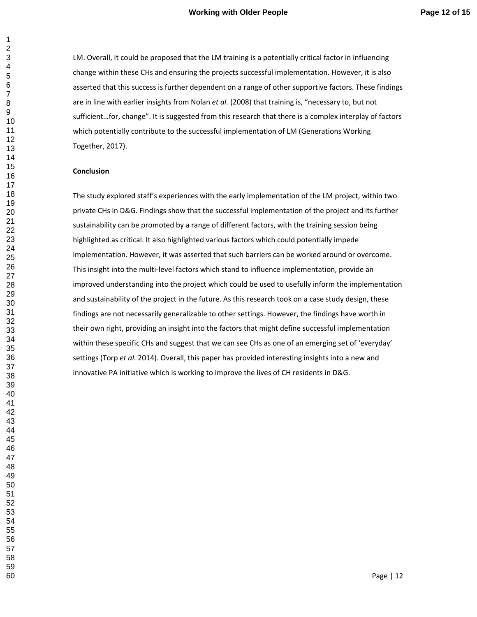## **Working with Older People Page 12 of 15**

LM. Overall, it could be proposed that the LM training is a potentially critical factor in influencing change within these CHs and ensuring the projects successful implementation. However, it is also asserted that this success is further dependent on a range of other supportive factors. These findings are in line with earlier insights from Nolan *et al.* (2008) that training is, "necessary to, but not sufficient…for, change". It is suggested from this research that there is a complex interplay of factors which potentially contribute to the successful implementation of LM (Generations Working Together, 2017).

#### **Conclusion**

The study explored staff's experiences with the early implementation of the LM project, within two private CHs in D&G. Findings show that the successful implementation of the project and its further sustainability can be promoted by a range of different factors, with the training session being highlighted as critical. It also highlighted various factors which could potentially impede implementation. However, it was asserted that such barriers can be worked around or overcome. This insight into the multi-level factors which stand to influence implementation, provide an improved understanding into the project which could be used to usefully inform the implementation and sustainability of the project in the future. As this research took on a case study design, these findings are not necessarily generalizable to other settings. However, the findings have worth in their own right, providing an insight into the factors that might define successful implementation within these specific CHs and suggest that we can see CHs as one of an emerging set of 'everyday' settings (Torp *et al*. 2014). Overall, this paper has provided interesting insights into a new and innovative PA initiative which is working to improve the lives of CH residents in D&G.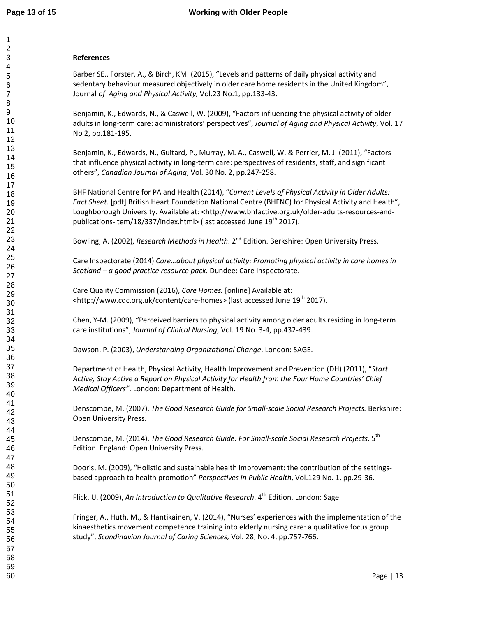## **References**

Barber SE., Forster, A., & Birch, KM. (2015), "Levels and patterns of daily physical activity and sedentary behaviour measured objectively in older care home residents in the United Kingdom", Journal *of Aging and Physical Activity,* Vol.23 No.1, pp.133-43.

Benjamin, K., Edwards, N., & Caswell, W. (2009), "Factors influencing the physical activity of older adults in long-term care: administrators' perspectives", *Journal of Aging and Physical Activity*, Vol. 17 No 2, pp.181-195.

Benjamin, K., Edwards, N., Guitard, P., Murray, M. A., Caswell, W. & Perrier, M. J. (2011), "Factors that influence physical activity in long-term care: perspectives of residents, staff, and significant others", *Canadian Journal of Aging*, Vol. 30 No. 2, pp.247-258.

BHF National Centre for PA and Health (2014), "*Current Levels of Physical Activity in Older Adults: Fact Sheet.* [pdf] British Heart Foundation National Centre (BHFNC) for Physical Activity and Health", Loughborough University. Available at: <http://www.bhfactive.org.uk/older-adults-resources-andpublications-item/18/337/index.html> (last accessed June  $19<sup>th</sup>$  2017).

Bowling, A. (2002), *Research Methods in Health*. 2<sup>nd</sup> Edition. Berkshire: Open University Press.

Care Inspectorate (2014) *Care…about physical activity: Promoting physical activity in care homes in Scotland – a good practice resource pack*. Dundee: Care Inspectorate.

Care Quality Commission (2016), *Care Homes.* [online] Available at: <http://www.cqc.org.uk/content/care-homes> (last accessed June 19<sup>th</sup> 2017).

Chen, Y-M. (2009), "Perceived barriers to physical activity among older adults residing in long-term care institutions", *Journal of Clinical Nursing*, Vol. 19 No. 3-4, pp.432-439.

Dawson, P. (2003), *Understanding Organizational Change*. London: SAGE.

Department of Health, Physical Activity, Health Improvement and Prevention (DH) (2011), "*Start Active, Stay Active a Report on Physical Activity for Health from the Four Home Countries' Chief Medical Officers"*. London: Department of Health.

Denscombe, M. (2007), *The Good Research Guide for Small-scale Social Research Projects.* Berkshire: Open University Press**.** 

Denscombe, M. (2014), *The Good Research Guide: For Small-scale Social Research Projects*. 5th Edition. England: Open University Press.

Dooris, M. (2009), "Holistic and sustainable health improvement: the contribution of the settingsbased approach to health promotion" *Perspectives in Public Health*, Vol.129 No. 1, pp.29-36.

Flick, U. (2009), *An Introduction to Qualitative Research*. 4<sup>th</sup> Edition. London: Sage.

Fringer, A., Huth, M., & Hantikainen, V. (2014), "Nurses' experiences with the implementation of the kinaesthetics movement competence training into elderly nursing care: a qualitative focus group study", *Scandinavian Journal of Caring Sciences,* Vol. 28, No. 4, pp.757-766.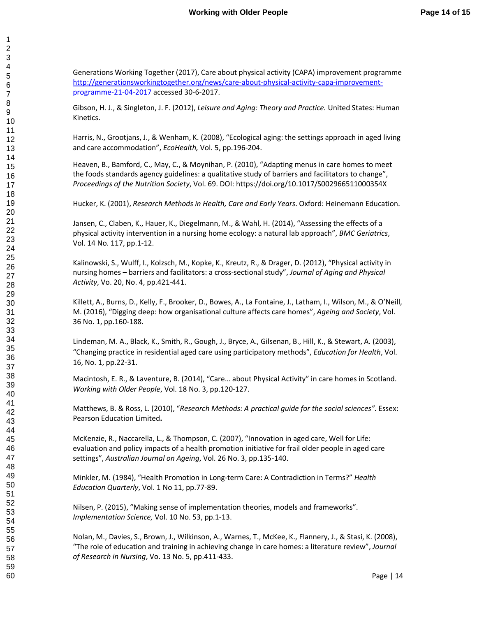Generations Working Together (2017), Care about physical activity (CAPA) improvement programme http://generationsworkingtogether.org/news/care-about-physical-activity-capa-improvementprogramme-21-04-2017 accessed 30-6-2017.

Gibson, H. J., & Singleton, J. F. (2012), *Leisure and Aging: Theory and Practice.* United States: Human Kinetics.

Harris, N., Grootjans, J., & Wenham, K. (2008), "Ecological aging: the settings approach in aged living and care accommodation", *EcoHealth,* Vol. 5, pp.196-204.

Heaven, B., Bamford, C., May, C., & Moynihan, P. (2010), "Adapting menus in care homes to meet the foods standards agency guidelines: a qualitative study of barriers and facilitators to change", *Proceedings of the Nutrition Society*, Vol. 69. DOI: https://doi.org/10.1017/S002966511000354X

Hucker, K. (2001), *Research Methods in Health, Care and Early Years*. Oxford: Heinemann Education.

Jansen, C., Claben, K., Hauer, K., Diegelmann, M., & Wahl, H. (2014), "Assessing the effects of a physical activity intervention in a nursing home ecology: a natural lab approach", *BMC Geriatrics*, Vol. 14 No. 117, pp.1-12.

Kalinowski, S., Wulff, I., Kolzsch, M., Kopke, K., Kreutz, R., & Drager, D. (2012), "Physical activity in nursing homes – barriers and facilitators: a cross-sectional study", *Journal of Aging and Physical Activity*, Vo. 20, No. 4, pp.421-441.

Killett, A., Burns, D., Kelly, F., Brooker, D., Bowes, A., La Fontaine, J., Latham, I., Wilson, M., & O'Neill, M. (2016), "Digging deep: how organisational culture affects care homes", *Ageing and Society*, Vol. 36 No. 1, pp.160-188.

Lindeman, M. A., Black, K., Smith, R., Gough, J., Bryce, A., Gilsenan, B., Hill, K., & Stewart, A. (2003), "Changing practice in residential aged care using participatory methods", *Education for Health*, Vol. 16, No. 1, pp.22-31.

Macintosh, E. R., & Laventure, B. (2014), "Care… about Physical Activity" in care homes in Scotland. *Working with Older People*, Vol. 18 No. 3, pp.120-127.

Matthews, B. & Ross, L. (2010), "*Research Methods: A practical guide for the social sciences".* Essex: Pearson Education Limited**.** 

McKenzie, R., Naccarella, L., & Thompson, C. (2007), "Innovation in aged care, Well for Life: evaluation and policy impacts of a health promotion initiative for frail older people in aged care settings", *Australian Journal on Ageing*, Vol. 26 No. 3, pp.135-140.

Minkler, M. (1984), "Health Promotion in Long-term Care: A Contradiction in Terms?" *Health Education Quarterly*, Vol. 1 No 11, pp.77-89.

Nilsen, P. (2015), "Making sense of implementation theories, models and frameworks". *Implementation Science,* Vol. 10 No. 53, pp.1-13.

Nolan, M., Davies, S., Brown, J., Wilkinson, A., Warnes, T., McKee, K., Flannery, J., & Stasi, K. (2008), "The role of education and training in achieving change in care homes: a literature review", *Journal of Research in Nursing*, Vo. 13 No. 5, pp.411-433.